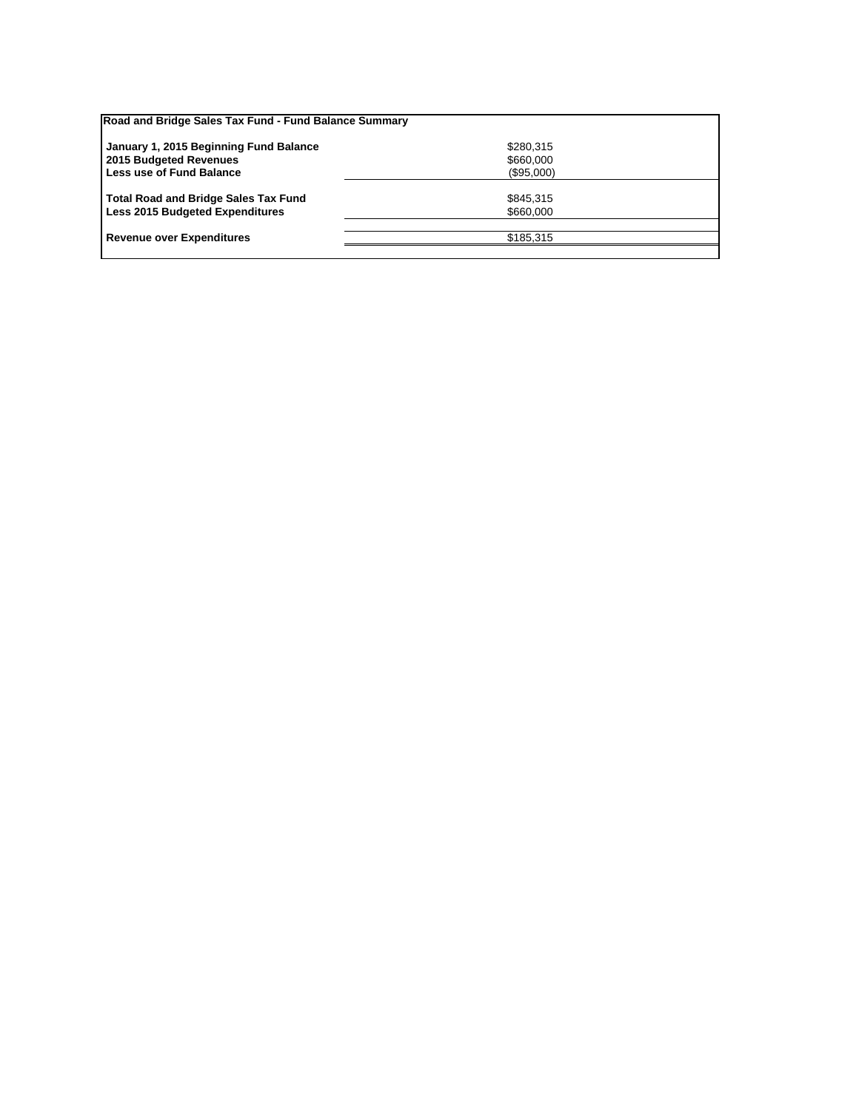| Road and Bridge Sales Tax Fund - Fund Balance Summary |            |  |
|-------------------------------------------------------|------------|--|
| January 1, 2015 Beginning Fund Balance                | \$280,315  |  |
| 2015 Budgeted Revenues                                | \$660,000  |  |
| Less use of Fund Balance                              | (\$95,000) |  |
| <b>Total Road and Bridge Sales Tax Fund</b>           | \$845.315  |  |
| <b>Less 2015 Budgeted Expenditures</b>                | \$660,000  |  |
| <b>Revenue over Expenditures</b>                      | \$185.315  |  |
|                                                       |            |  |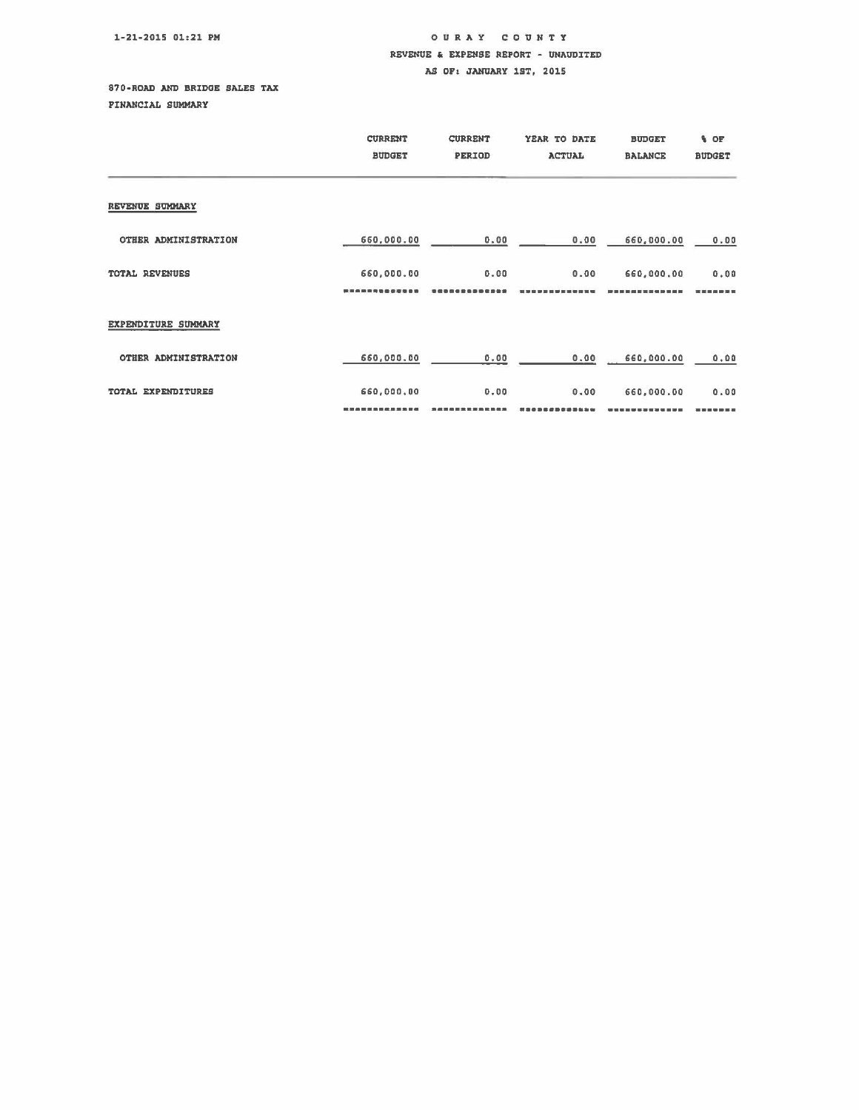## 1-21-2015 01:21 PM

## OUR A Y COUNTY REVENUE & EXPENSE REPORT - UNAUDITED AS OF: JANUARY 1ST, 2015

## 870-ROAD AND BRIDGE SALES TAX

PINANCIAL SUMMARY

|                      | <b>CURRENT</b><br><b>BUDGET</b> | <b>CURRENT</b><br>PERIOD | YEAR TO DATE<br><b>ACTUAL</b> | <b>BUDGET</b><br><b>BALANCE</b> | % OF<br><b>BUDGET</b> |
|----------------------|---------------------------------|--------------------------|-------------------------------|---------------------------------|-----------------------|
| REVENUE SUMMARY      |                                 |                          |                               |                                 |                       |
| OTHER ADMINISTRATION | 660,000.00                      | 0.00                     | 0.00                          | 660,000.00                      | 0.00                  |
| TOTAL REVENUES       | 660,000.00<br>,,,,,,,,,,,       | 0.00                     | 0.00                          | 660,000.00                      | 0.00<br>能微微测          |
| EXPENDITURE SUMMARY  |                                 |                          |                               |                                 |                       |
| OTHER ADMINISTRATION | 660,000.00                      | 0.00                     | 0.00                          | 660,000.00                      | 0.00                  |
| TOTAL EXPENDITURES   | 660,000,00                      | 0.00                     | 0.00                          | 660,000.00                      | 0.00                  |
|                      |                                 |                          |                               |                                 | 警備書題                  |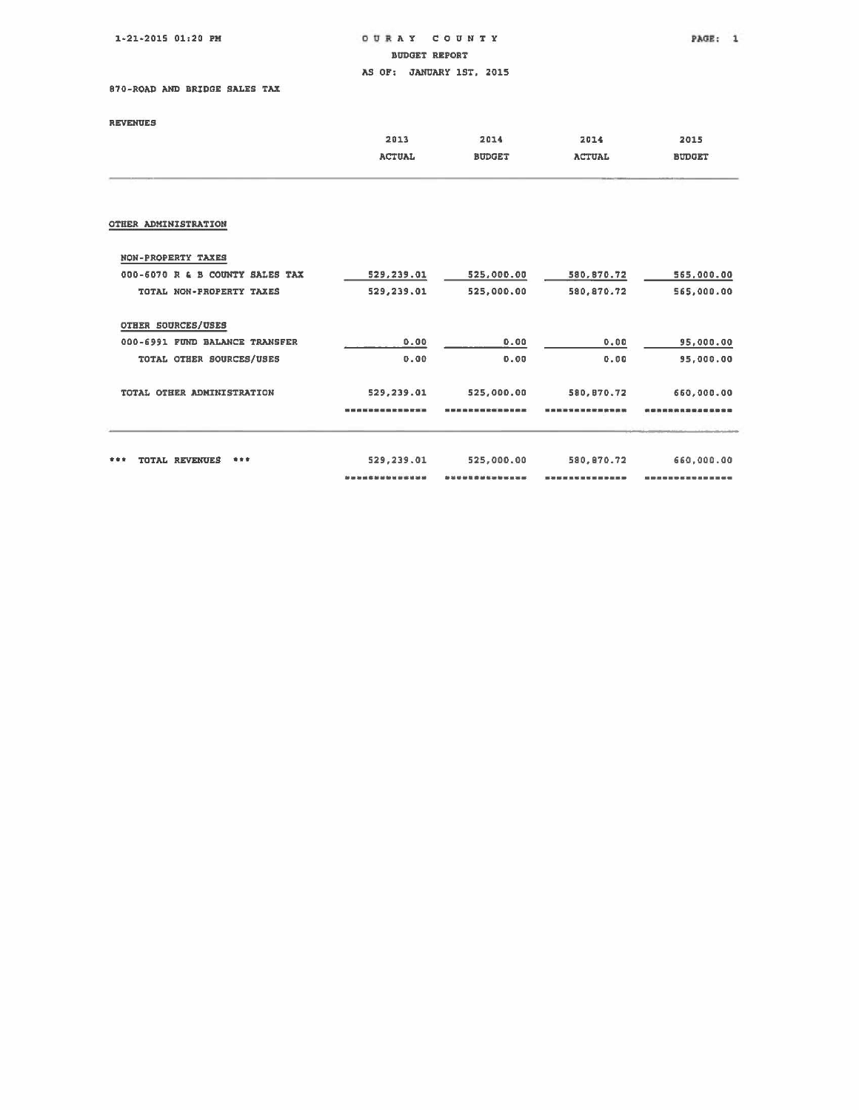1-21-2015 01:20 PM o. • A Y CO UN T Y

BUDGET REPORT

AS OF: JANUARY 1ST, 2015

870-ROAD AND BRIDGE SALES TAX

**REVENUES** 

|                                 | 2013<br><b>ACTUAL</b> | 2014<br><b>BUDGET</b> | 2014<br><b>ACTUAL</b> | 2015<br><b>BUDGET</b> |
|---------------------------------|-----------------------|-----------------------|-----------------------|-----------------------|
|                                 |                       |                       |                       |                       |
| OTHER ADMINISTRATION            |                       |                       |                       |                       |
| NON-PROPERTY TAXES              |                       |                       |                       |                       |
| 000-6070 R & B COUNTY SALES TAX | 529,239.01            | 525,000.00            | 580,870.72            | 565,000.00            |
| TOTAL NON-PROPERTY TAXES        | 529,239.01            | 525,000.00            | 580,870.72            | 565,000.00            |
| OTHER SOURCES/USES              |                       |                       |                       |                       |
| 000-6991 FUND BALANCE TRANSFER  | 0.00                  | 0.00                  | 0.00                  | 95,000.00             |
| TOTAL OTHER SOURCES/USES        | 0.00                  | 0.00                  | 0.00                  | 95,000.00             |
| TOTAL OTHER ADMINISTRATION      | 529.239.01            | 525,000.00            | 580,870.72            | 660,000.00            |
|                                 |                       |                       |                       | 消费类型感恩者感受消费           |
| TOTAL REVENUES<br>***<br>***    | 529,239.01            | 525,000.00            | 580,870.72            | 660,000.00            |
|                                 |                       |                       |                       |                       |